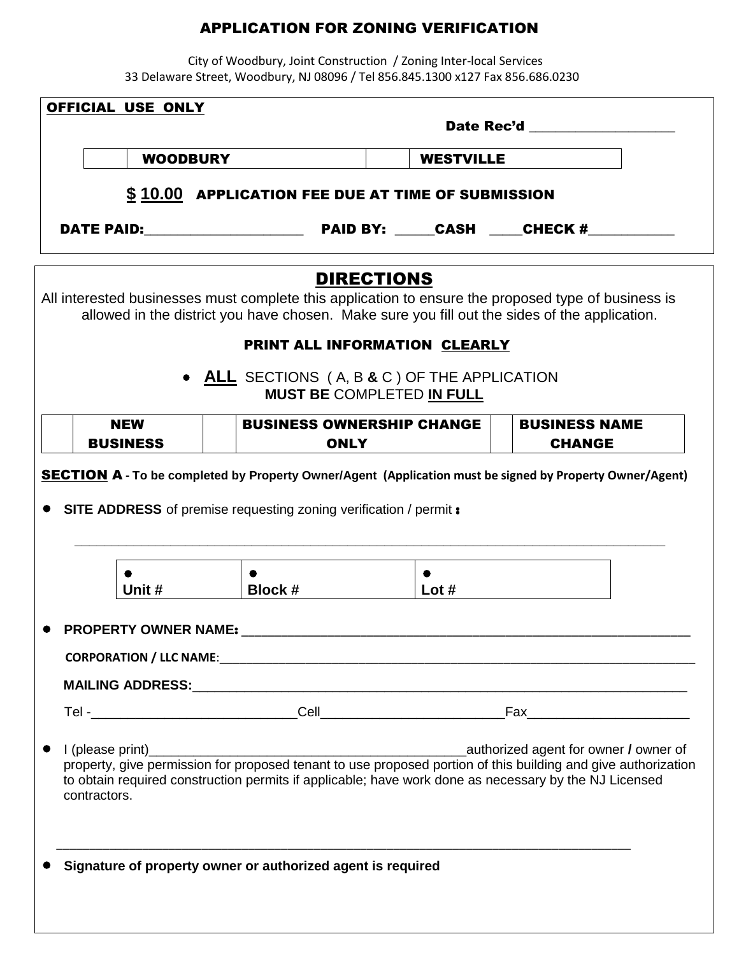## APPLICATION FOR ZONING VERIFICATION

 City of Woodbury, Joint Construction / Zoning Inter-local Services 33 Delaware Street, Woodbury, NJ 08096 / Tel 856.845.1300 x127 Fax 856.686.0230

| OFFICIAL USE ONLY             |                                                                                                                                                                                                                           |                  |                                                                                                                                                                                                                               |
|-------------------------------|---------------------------------------------------------------------------------------------------------------------------------------------------------------------------------------------------------------------------|------------------|-------------------------------------------------------------------------------------------------------------------------------------------------------------------------------------------------------------------------------|
|                               |                                                                                                                                                                                                                           |                  | Date Rec'd and the control of the control of the control of the control of the control of the control of the control of the control of the control of the control of the control of the control of the control of the control |
| <b>WOODBURY</b>               |                                                                                                                                                                                                                           | <b>WESTVILLE</b> |                                                                                                                                                                                                                               |
|                               | \$10.00 APPLICATION FEE DUE AT TIME OF SUBMISSION                                                                                                                                                                         |                  |                                                                                                                                                                                                                               |
|                               |                                                                                                                                                                                                                           |                  |                                                                                                                                                                                                                               |
|                               | <b>DIRECTIONS</b><br>All interested businesses must complete this application to ensure the proposed type of business is<br>allowed in the district you have chosen. Make sure you fill out the sides of the application. |                  |                                                                                                                                                                                                                               |
|                               | PRINT ALL INFORMATION CLEARLY<br>• ALL SECTIONS (A, B & C) OF THE APPLICATION<br><b>MUST BE COMPLETED IN FULL</b>                                                                                                         |                  |                                                                                                                                                                                                                               |
| <b>NEW</b><br><b>BUSINESS</b> | <b>BUSINESS OWNERSHIP CHANGE</b>                                                                                                                                                                                          |                  | <b>BUSINESS NAME</b><br><b>CHANGE</b>                                                                                                                                                                                         |
|                               | <b>ONLY</b><br><b>SECTION A</b> - To be completed by Property Owner/Agent (Application must be signed by Property Owner/Agent)<br><b>SITE ADDRESS</b> of premise requesting zoning verification / permit <b>:</b>         |                  |                                                                                                                                                                                                                               |
|                               |                                                                                                                                                                                                                           |                  |                                                                                                                                                                                                                               |
| Unit #                        | Block #                                                                                                                                                                                                                   | Lot $#$          |                                                                                                                                                                                                                               |
| <b>PROPERTY OWNER NAME:</b>   |                                                                                                                                                                                                                           |                  |                                                                                                                                                                                                                               |
|                               |                                                                                                                                                                                                                           |                  |                                                                                                                                                                                                                               |
|                               |                                                                                                                                                                                                                           |                  |                                                                                                                                                                                                                               |
|                               |                                                                                                                                                                                                                           |                  |                                                                                                                                                                                                                               |
| contractors.                  | property, give permission for proposed tenant to use proposed portion of this building and give authorization<br>to obtain required construction permits if applicable; have work done as necessary by the NJ Licensed    |                  |                                                                                                                                                                                                                               |
|                               |                                                                                                                                                                                                                           |                  |                                                                                                                                                                                                                               |
|                               | Signature of property owner or authorized agent is required                                                                                                                                                               |                  |                                                                                                                                                                                                                               |
|                               |                                                                                                                                                                                                                           |                  |                                                                                                                                                                                                                               |